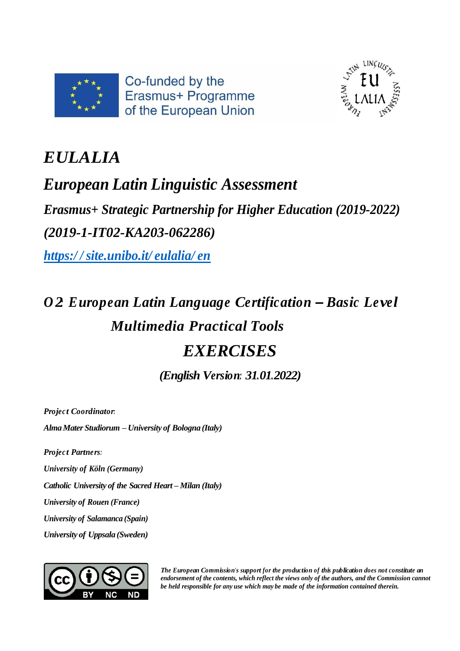



# *EULALIA*

# *European Latin Linguistic Assessment*

*Erasmus+ Strategic Partnership for Higher Education (2019-2022) (2019-1-IT02-KA203-062286)*

*https:/ / [site.unibo.it/](https://site.unibo.it/eulalia/en) eulalia/ en*

# *O 2: European Latin Language Certification – Basic Level Multimedia Practical Tools EXERCISES*

*(English Version: 31.01.2022)*

*Projec t Coordinator:*

*AlmaMater Studiorum – University of Bologna (Italy)*

*Projec t Partners:*

*University of Köln (Germany)*

*Catholic University of the Sacred Heart – Milan (Italy)*

*University of Rouen (France)*

*University of Salamanca (Spain)*

*University of Uppsala (Sweden)*



*The European Commission's support for the production of this publication does not constitute an endorsement of the contents, which reflect the views only of the authors, and the Commission cannot be held responsible for any use which may be made of the information contained therein.*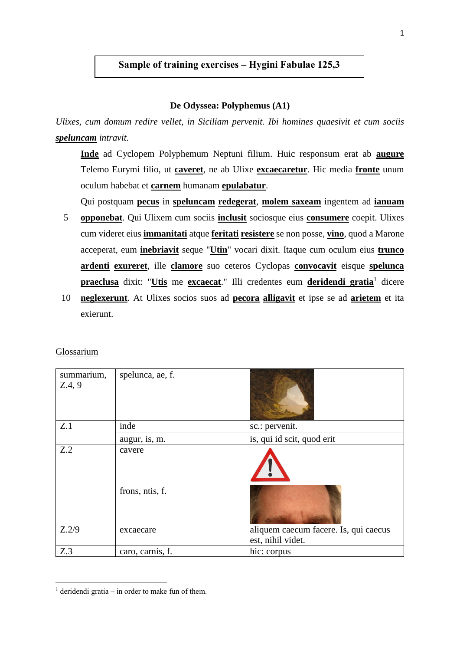# **Sample of training exercises – Hygini Fabulae 125,3**

## **De Odyssea: Polyphemus (A1)**

*Ulixes, cum domum redire vellet, in Siciliam pervenit. Ibi homines quaesivit et cum sociis speluncam intravit.*

**Inde** ad Cyclopem Polyphemum Neptuni filium. Huic responsum erat ab **augure** Telemo Eurymi filio, ut **caveret**, ne ab Ulixe **excaecaretur**. Hic media **fronte** unum oculum habebat et **carnem** humanam **epulabatur**.

Qui postquam **pecus** in **speluncam redegerat**, **molem saxeam** ingentem ad **ianuam**

- 5 **opponebat**. Qui Ulixem cum sociis **inclusit** sociosque eius **consumere** coepit. Ulixes cum videret eius **immanitati** atque **feritati resistere** se non posse, **vino**, quod a Marone acceperat, eum **inebriavit** seque "**Utin**" vocari dixit. Itaque cum oculum eius **trunco ardenti exureret**, ille **clamore** suo ceteros Cyclopas **convocavit** eisque **spelunca praeclusa** dixit: "Utis me excaecat." Illi credentes eum deridendi gratia<sup>1</sup> dicere
- 10 **neglexerunt**. At Ulixes socios suos ad **pecora alligavit** et ipse se ad **arietem** et ita exierunt.

| Glossarium |  |
|------------|--|
|            |  |

**.** 

| summarium,<br>Z.4, 9 | spelunca, ae, f. |                                                            |  |
|----------------------|------------------|------------------------------------------------------------|--|
| Z.1                  | inde             | sc.: pervenit.                                             |  |
|                      | augur, is, m.    | is, qui id scit, quod erit                                 |  |
| Z.2                  | cavere           |                                                            |  |
|                      | frons, ntis, f.  |                                                            |  |
| Z.2/9                | excaecare        | aliquem caecum facere. Is, qui caecus<br>est, nihil videt. |  |
| Z.3                  | caro, carnis, f. | hic: corpus                                                |  |

<sup>&</sup>lt;sup>1</sup> deridendi gratia – in order to make fun of them.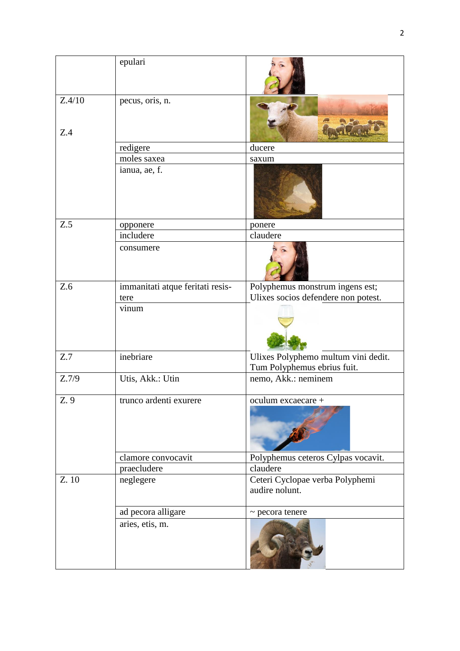|               | epulari                          |                                                                    |
|---------------|----------------------------------|--------------------------------------------------------------------|
| Z.4/10<br>Z.4 | pecus, oris, n.                  |                                                                    |
|               | redigere                         | ducere                                                             |
|               | moles saxea                      | saxum                                                              |
|               | ianua, ae, f.                    |                                                                    |
| Z.5           | opponere                         | ponere                                                             |
|               | includere                        | claudere                                                           |
|               | consumere                        |                                                                    |
| Z.6           | immanitati atque feritati resis- | Polyphemus monstrum ingens est;                                    |
|               | tere                             | Ulixes socios defendere non potest.                                |
|               | vinum                            |                                                                    |
| Z.7           | inebriare                        | Ulixes Polyphemo multum vini dedit.<br>Tum Polyphemus ebrius fuit. |
| Z.7/9         | Utis, Akk.: Utin                 | nemo, Akk.: neminem                                                |
| Z. 9          | trunco ardenti exurere           | oculum excaecare +                                                 |
|               | clamore convocavit               | Polyphemus ceteros Cylpas vocavit.                                 |
|               | praecludere                      | claudere                                                           |
| Z. 10         | neglegere                        | Ceteri Cyclopae verba Polyphemi<br>audire nolunt.                  |
|               | ad pecora alligare               | $\sim$ pecora tenere                                               |
|               | aries, etis, m.                  |                                                                    |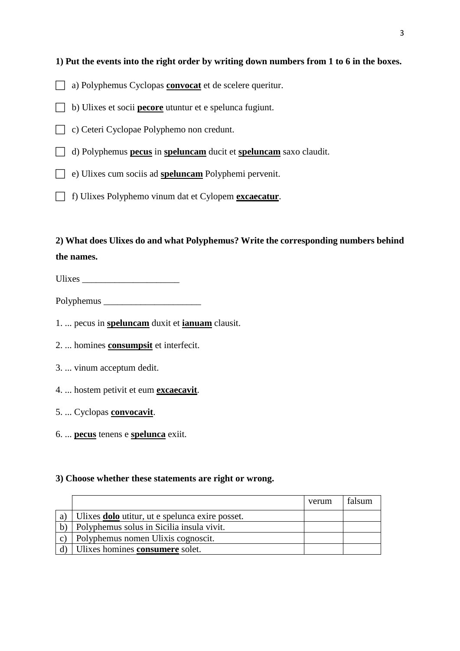# **1) Put the events into the right order by writing down numbers from 1 to 6 in the boxes.**

- a) Polyphemus Cyclopas **convocat** et de scelere queritur.
- b) Ulixes et socii **pecore** utuntur et e spelunca fugiunt.
- c) Ceteri Cyclopae Polyphemo non credunt.
- d) Polyphemus **pecus** in **speluncam** ducit et **speluncam** saxo claudit.
- e) Ulixes cum sociis ad **speluncam** Polyphemi pervenit.
- f) Ulixes Polyphemo vinum dat et Cylopem **excaecatur**.

**2) What does Ulixes do and what Polyphemus? Write the corresponding numbers behind the names.** 

Ulixes \_\_\_\_\_\_\_\_\_\_\_\_\_\_\_\_\_\_\_\_\_

Polyphemus \_\_\_\_\_\_\_\_\_\_\_\_\_\_\_\_\_\_\_\_\_

- 1. ... pecus in **speluncam** duxit et **ianuam** clausit.
- 2. ... homines **consumpsit** et interfecit.
- 3. ... vinum acceptum dedit.
- 4. ... hostem petivit et eum **excaecavit**.
- 5. ... Cyclopas **convocavit**.
- 6. ... **pecus** tenens e **spelunca** exiit.

#### **3) Choose whether these statements are right or wrong.**

|              |                                                        | verum | falsum |
|--------------|--------------------------------------------------------|-------|--------|
| a)           | Ulixes <b>dolo</b> utitur, ut e spelunca exire posset. |       |        |
| $\mathbf{b}$ | Polyphemus solus in Sicilia insula vivit.              |       |        |
| $\mathbf{C}$ | Polyphemus nomen Ulixis cognoscit.                     |       |        |
|              | Ulixes homines consumere solet.                        |       |        |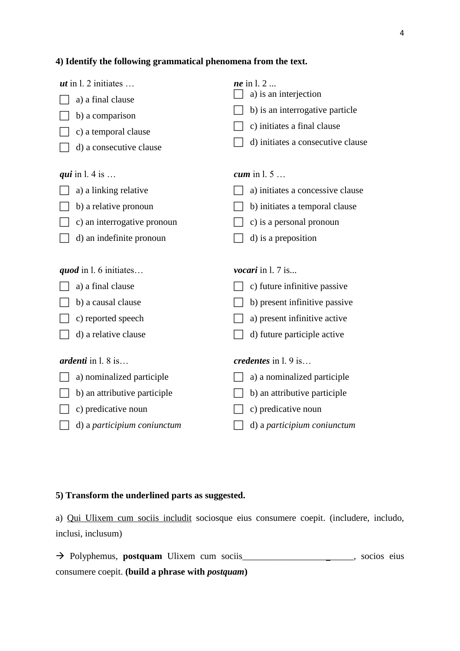## **4) Identify the following grammatical phenomena from the text.**

| <i>ut</i> in 1. 2 initiates<br>a) a final clause<br>b) a comparison<br>c) a temporal clause | <i>ne</i> in 1.2<br>a) is an interjection<br>b) is an interrogative particle<br>c) initiates a final clause<br>d) initiates a consecutive clause |
|---------------------------------------------------------------------------------------------|--------------------------------------------------------------------------------------------------------------------------------------------------|
| d) a consecutive clause                                                                     |                                                                                                                                                  |
| <i>qui</i> in 1.4 is                                                                        | cum in $1.5$                                                                                                                                     |
| a) a linking relative                                                                       | a) initiates a concessive clause                                                                                                                 |
| b) a relative pronoun                                                                       | b) initiates a temporal clause                                                                                                                   |
| c) an interrogative pronoun                                                                 | c) is a personal pronoun                                                                                                                         |
| d) an indefinite pronoun                                                                    | d) is a preposition                                                                                                                              |
|                                                                                             |                                                                                                                                                  |
| <i>quod</i> in 1.6 initiates                                                                | vocari in l. 7 is                                                                                                                                |
| a) a final clause                                                                           | c) future infinitive passive                                                                                                                     |
| b) a causal clause                                                                          | b) present infinitive passive                                                                                                                    |
| c) reported speech                                                                          | a) present infinitive active                                                                                                                     |
| d) a relative clause                                                                        | d) future participle active                                                                                                                      |
| <i>ardenti</i> in $1.8$ is                                                                  | credentes in l. 9 is                                                                                                                             |
| a) nominalized participle                                                                   | a) a nominalized participle                                                                                                                      |
| b) an attributive participle                                                                | b) an attributive participle                                                                                                                     |
| c) predicative noun                                                                         |                                                                                                                                                  |
|                                                                                             | c) predicative noun                                                                                                                              |

# **5) Transform the underlined parts as suggested.**

a) Qui Ulixem cum sociis includit sociosque eius consumere coepit. (includere, includo, inclusi, inclusum)

→ Polyphemus, **postquam** Ulixem cum sociis\_\_\_\_\_\_\_\_\_\_\_\_\_\_\_\_\_\_\_\_\_\_\_\_, socios eius consumere coepit. **(build a phrase with** *postquam***)**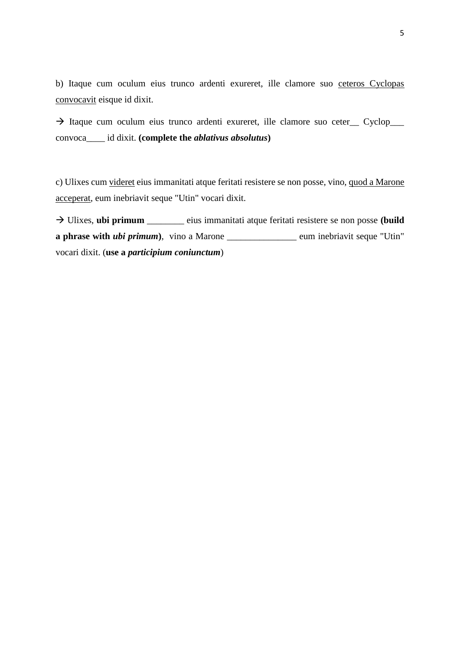b) Itaque cum oculum eius trunco ardenti exureret, ille clamore suo ceteros Cyclopas convocavit eisque id dixit.

→ Itaque cum oculum eius trunco ardenti exureret, ille clamore suo ceter\_\_ Cyclop\_\_\_ convoca\_\_\_\_ id dixit. **(complete the** *ablativus absolutus***)**

c) Ulixes cum videret eius immanitati atque feritati resistere se non posse, vino, quod a Marone acceperat, eum inebriavit seque "Utin" vocari dixit.

→ Ulixes, **ubi primum** \_\_\_\_\_\_\_\_ eius immanitati atque feritati resistere se non posse **(build a phrase with** *ubi primum*), vino a Marone \_\_\_\_\_\_\_\_\_\_\_\_\_\_\_ eum inebriavit seque "Utin" vocari dixit. (**use a** *participium coniunctum*)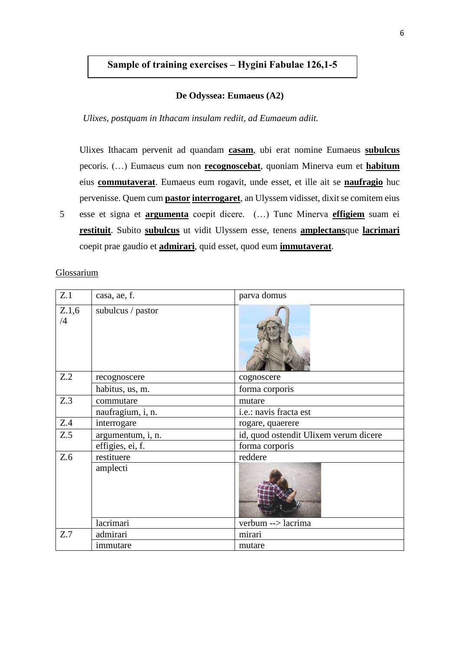# **Sample of training exercises – Hygini Fabulae 126,1-5**

#### **De Odyssea: Eumaeus (A2)**

#### *Ulixes, postquam in Ithacam insulam rediit, ad Eumaeum adiit.*

Ulixes Ithacam pervenit ad quandam **casam**, ubi erat nomine Eumaeus **subulcus** pecoris. (…) Eumaeus eum non **recognoscebat**, quoniam Minerva eum et **habitum** eius **commutaverat**. Eumaeus eum rogavit, unde esset, et ille ait se **naufragio** huc pervenisse. Quem cum **pastor interrogaret**, an Ulyssem vidisset, dixit se comitem eius

5 esse et signa et **argumenta** coepit dicere. (…) Tunc Minerva **effigiem** suam ei **restituit**. Subito **subulcus** ut vidit Ulyssem esse, tenens **amplectans**que **lacrimari** coepit prae gaudio et **admirari**, quid esset, quod eum **immutaverat**.

Glossarium

| Z.1         | casa, ae, f.      | parva domus                           |  |  |  |
|-------------|-------------------|---------------------------------------|--|--|--|
| Z.1,6<br>/4 | subulcus / pastor |                                       |  |  |  |
| Z.2         | recognoscere      | cognoscere                            |  |  |  |
|             | habitus, us, m.   | forma corporis                        |  |  |  |
| Z.3         | commutare         | mutare                                |  |  |  |
|             | naufragium, i, n. | i.e.: navis fracta est                |  |  |  |
| Z.4         | interrogare       | rogare, quaerere                      |  |  |  |
| Z.5         | argumentum, i, n. | id, quod ostendit Ulixem verum dicere |  |  |  |
|             | effigies, ei, f.  | forma corporis                        |  |  |  |
| Z.6         | restituere        | reddere                               |  |  |  |
|             | amplecti          |                                       |  |  |  |
|             | lacrimari         | verbum --> lacrima                    |  |  |  |
| Z.7         | admirari          | mirari                                |  |  |  |
|             | immutare          | mutare                                |  |  |  |